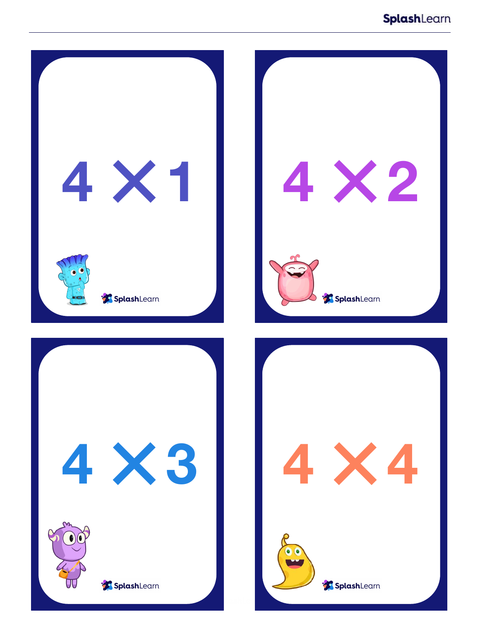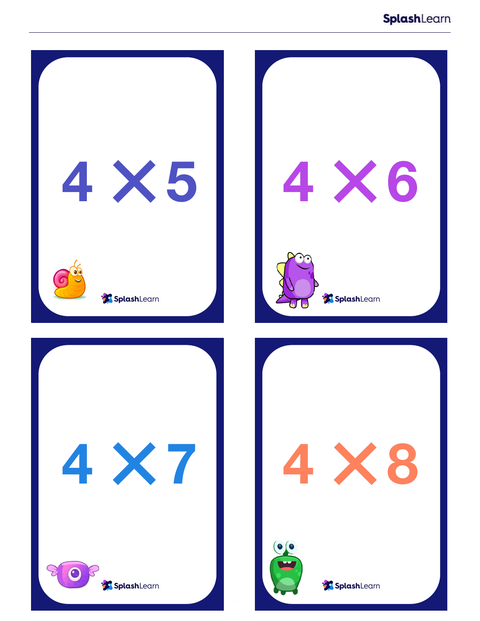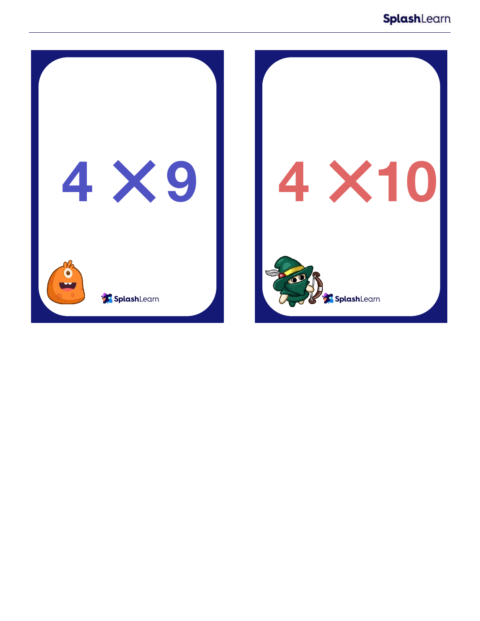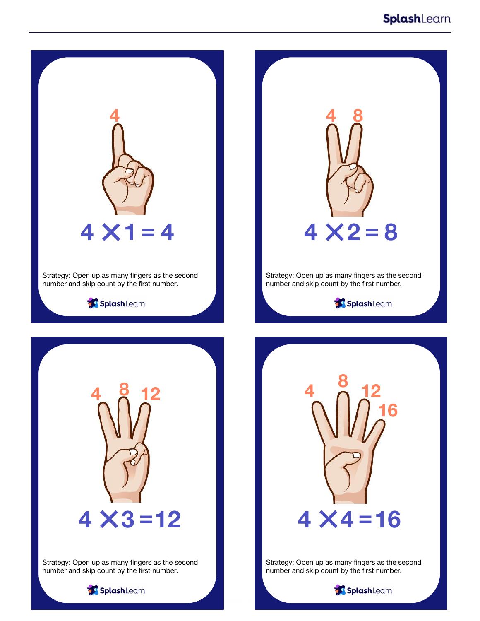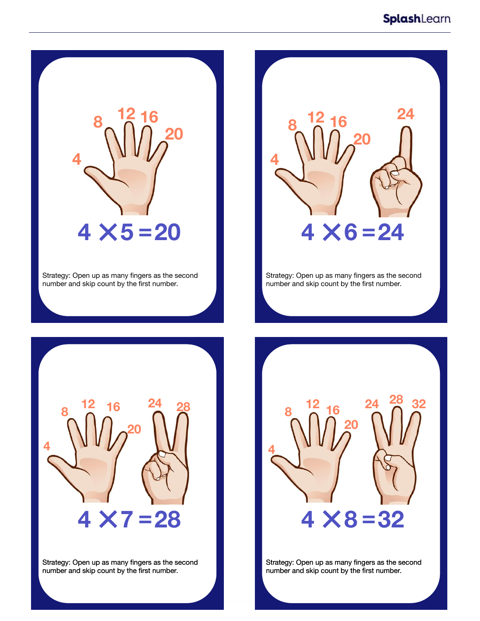

Strategy: Open up as many fingers as the second number and skip count by the first number.



Strategy: Open up as many fingers as the second number and skip count by the first number.



Strategy: Open up as many fingers as the second number and skip count by the first number.



Strategy: Open up as many fingers as the second number and skip count by the first number.